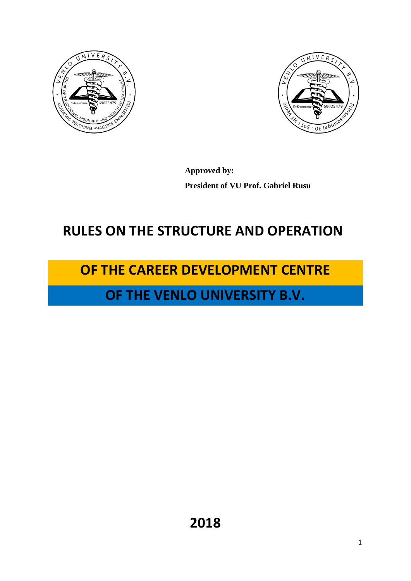



**Approved by: President of VU Prof. Gabriel Rusu**

## **RULES ON THE STRUCTURE AND OPERATION**

# **OF THE CAREER DEVELOPMENT CENTRE**

## **OF THE VENLO UNIVERSITY B.V.**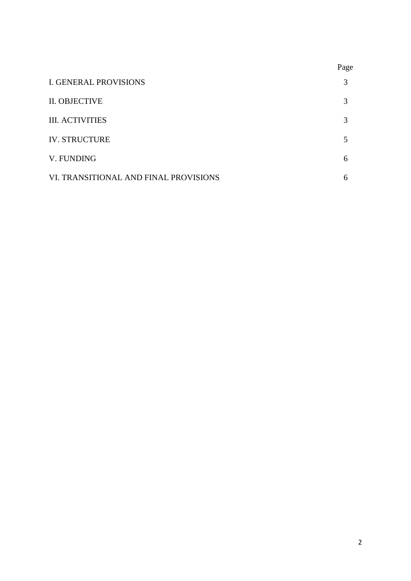|                                       | Page |
|---------------------------------------|------|
| <b>I. GENERAL PROVISIONS</b>          | 3    |
| II. OBJECTIVE                         | 3    |
| <b>III. ACTIVITIES</b>                | 3    |
| <b>IV. STRUCTURE</b>                  | 5    |
| V. FUNDING                            | 6    |
| VI. TRANSITIONAL AND FINAL PROVISIONS | 6    |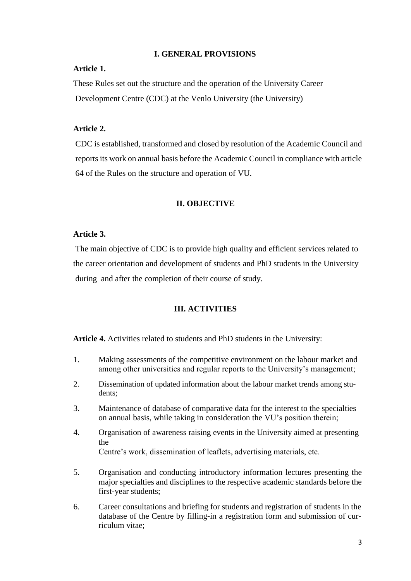## **I. GENERAL PROVISIONS**

## **Article 1.**

These Rules set out the structure and the operation of the University Career Development Centre (CDC) at the Venlo University (the University)

### **Article 2.**

CDC is established, transformed and closed by resolution of the Academic Council and reports its work on annual basis before the Academic Council in compliance with article 64 of the Rules on the structure and operation of VU.

#### **II. OBJECTIVE**

#### **Article 3.**

The main objective of CDC is to provide high quality and efficient services related to the career orientation and development of students and PhD students in the University during and after the completion of their course of study.

## **III. ACTIVITIES**

**Article 4.** Activities related to students and PhD students in the University:

- 1. Making assessments of the competitive environment on the labour market and among other universities and regular reports to the University's management;
- 2. Dissemination of updated information about the labour market trends among students;
- 3. Maintenance of database of comparative data for the interest to the specialties on annual basis, while taking in consideration the VU's position therein;
- 4. Organisation of awareness raising events in the University aimed at presenting the Centre's work, dissemination of leaflets, advertising materials, etc.
- 5. Organisation and conducting introductory information lectures presenting the major specialties and disciplines to the respective academic standards before the first-year students;
- 6. Career consultations and briefing for students and registration of students in the database of the Centre by filling-in a registration form and submission of curriculum vitae;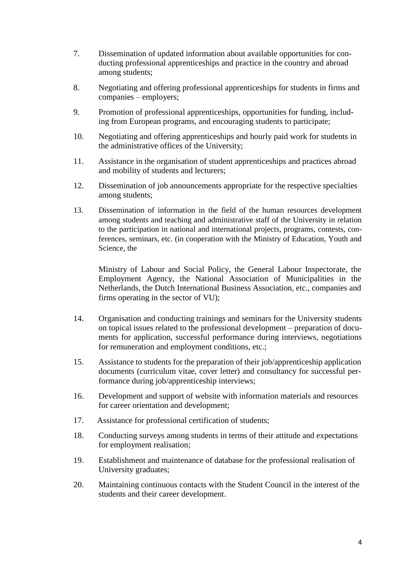- 7. Dissemination of updated information about available opportunities for conducting professional apprenticeships and practice in the country and abroad among students;
- 8. Negotiating and offering professional apprenticeships for students in firms and companies – employers;
- 9. Promotion of professional apprenticeships, opportunities for funding, including from European programs, and encouraging students to participate;
- 10. Negotiating and offering apprenticeships and hourly paid work for students in the administrative offices of the University;
- 11. Assistance in the organisation of student apprenticeships and practices abroad and mobility of students and lecturers;
- 12. Dissemination of job announcements appropriate for the respective specialties among students;
- 13. Dissemination of information in the field of the human resources development among students and teaching and administrative staff of the University in relation to the participation in national and international projects, programs, contests, conferences, seminars, etc. (in cooperation with the Ministry of Education, Youth and Science, the

Ministry of Labour and Social Policy, the General Labour Inspectorate, the Employment Agency, the National Association of Municipalities in the Netherlands, the Dutch International Business Association, etc., companies and firms operating in the sector of VU);

- 14. Organisation and conducting trainings and seminars for the University students on topical issues related to the professional development – preparation of documents for application, successful performance during interviews, negotiations for remuneration and employment conditions, etc.;
- 15. Assistance to students for the preparation of their job/apprenticeship application documents (curriculum vitae, cover letter) and consultancy for successful performance during job/apprenticeship interviews;
- 16. Development and support of website with information materials and resources for career orientation and development;
- 17. Assistance for professional certification of students;
- 18. Conducting surveys among students in terms of their attitude and expectations for employment realisation;
- 19. Establishment and maintenance of database for the professional realisation of University graduates;
- 20. Maintaining continuous contacts with the Student Council in the interest of the students and their career development.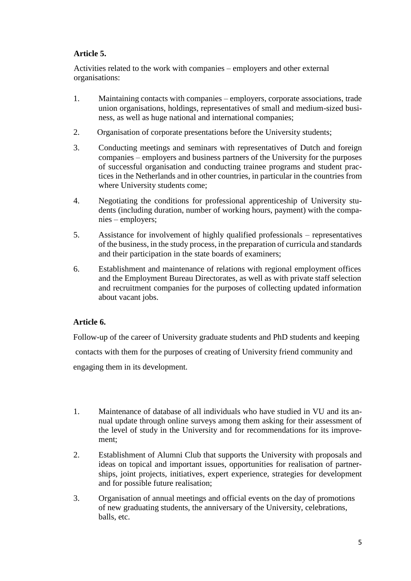## **Article 5.**

Activities related to the work with companies – employers and other external organisations:

- 1. Maintaining contacts with companies employers, corporate associations, trade union organisations, holdings, representatives of small and medium-sized business, as well as huge national and international companies;
- 2. Organisation of corporate presentations before the University students;
- 3. Conducting meetings and seminars with representatives of Dutch and foreign companies – employers and business partners of the University for the purposes of successful organisation and conducting trainee programs and student practices in the Netherlands and in other countries, in particular in the countries from where University students come;
- 4. Negotiating the conditions for professional apprenticeship of University students (including duration, number of working hours, payment) with the companies – employers;
- 5. Assistance for involvement of highly qualified professionals representatives of the business, in the study process, in the preparation of curricula and standards and their participation in the state boards of examiners;
- 6. Establishment and maintenance of relations with regional employment offices and the Employment Bureau Directorates, as well as with private staff selection and recruitment companies for the purposes of collecting updated information about vacant jobs.

## **Article 6.**

Follow-up of the career of University graduate students and PhD students and keeping contacts with them for the purposes of creating of University friend community and engaging them in its development.

- 1. Maintenance of database of all individuals who have studied in VU and its annual update through online surveys among them asking for their assessment of the level of study in the University and for recommendations for its improvement;
- 2. Establishment of Alumni Club that supports the University with proposals and ideas on topical and important issues, opportunities for realisation of partnerships, joint projects, initiatives, expert experience, strategies for development and for possible future realisation;
- 3. Organisation of annual meetings and official events on the day of promotions of new graduating students, the anniversary of the University, celebrations, balls, etc.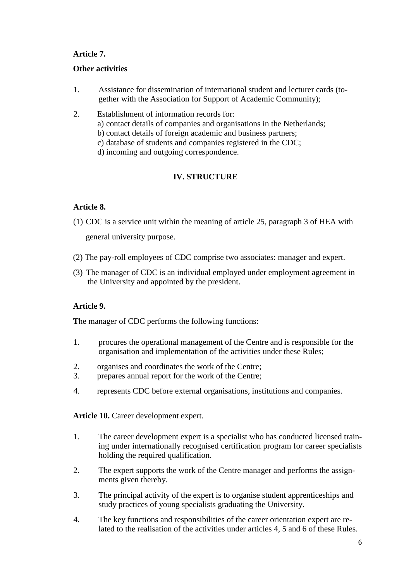## **Article 7.**

## **Other activities**

- 1. Assistance for dissemination of international student and lecturer cards (together with the Association for Support of Academic Community);
- 2. Establishment of information records for: a) contact details of companies and organisations in the Netherlands; b) contact details of foreign academic and business partners; c) database of students and companies registered in the CDC; d) incoming and outgoing correspondence.

## **IV. STRUCTURE**

## **Article 8.**

- (1) CDC is a service unit within the meaning of article 25, paragraph 3 of HEA with general university purpose.
- (2) The pay-roll employees of CDC comprise two associates: manager and expert.
- (3) The manager of CDC is an individual employed under employment agreement in the University and appointed by the president.

## **Article 9.**

**T**he manager of CDC performs the following functions:

- 1. procures the operational management of the Centre and is responsible for the organisation and implementation of the activities under these Rules;
- 2. organises and coordinates the work of the Centre;
- 3. prepares annual report for the work of the Centre;
- 4. represents CDC before external organisations, institutions and companies.

**Article 10.** Career development expert.

- 1. The career development expert is a specialist who has conducted licensed training under internationally recognised certification program for career specialists holding the required qualification.
- 2. The expert supports the work of the Centre manager and performs the assignments given thereby.
- 3. The principal activity of the expert is to organise student apprenticeships and study practices of young specialists graduating the University.
- 4. The key functions and responsibilities of the career orientation expert are related to the realisation of the activities under articles 4, 5 and 6 of these Rules.